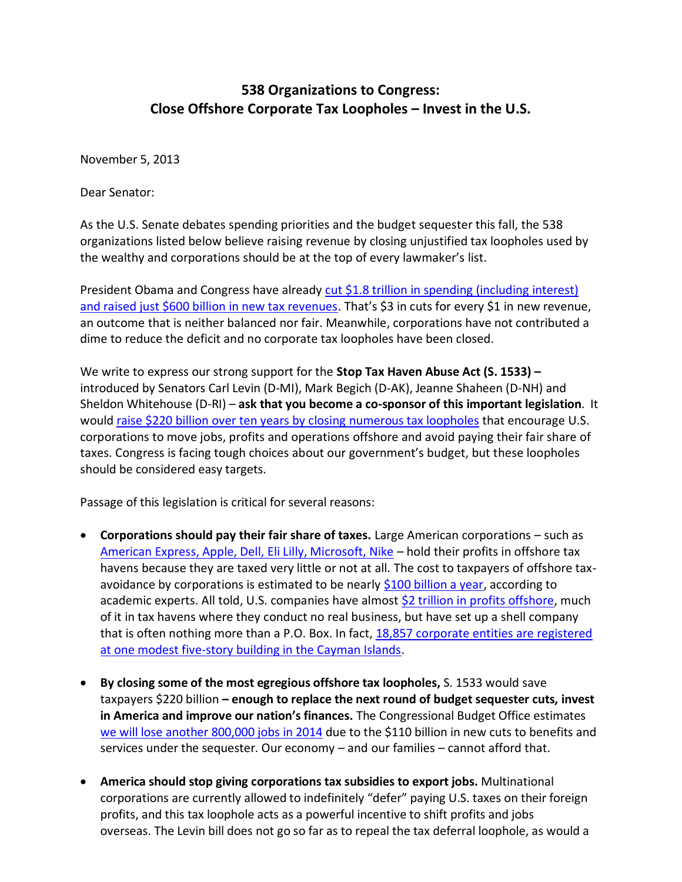## **538 Organizations to Congress: Close Offshore Corporate Tax Loopholes – Invest in the U.S.**

November 5, 2013

Dear Senator:

As the U.S. Senate debates spending priorities and the budget sequester this fall, the 538 organizations listed below believe raising revenue by closing unjustified tax loopholes used by the wealthy and corporations should be at the top of every lawmaker's list.

President Obama and Congress have already cut [\\$1.8 trillion in spending \(including interest\)](http://www.budget.senate.gov/democratic/index.cfm/files/serve?File_id=ee2613d9-cf20-402c-8a65-e1b670b21fa0)  [and raised just \\$600 billion in new tax revenues](http://www.budget.senate.gov/democratic/index.cfm/files/serve?File_id=ee2613d9-cf20-402c-8a65-e1b670b21fa0). That's \$3 in cuts for every \$1 in new revenue, an outcome that is neither balanced nor fair. Meanwhile, corporations have not contributed a dime to reduce the deficit and no corporate tax loopholes have been closed.

We write to express our strong support for the **Stop Tax Haven Abuse Act (S. 1533) –** introduced by Senators Carl Levin (D-MI), Mark Begich (D-AK), Jeanne Shaheen (D-NH) and Sheldon Whitehouse (D-RI) – **ask that you become a co-sponsor of this important legislation**. It would [raise \\$220 billion over ten years by closing numerous tax loopholes](http://www.levin.senate.gov/newsroom/press/release/senators-introduce-bill-to-close-offshore-tax-loopholes/?section=alltypes) that encourage U.S. corporations to move jobs, profits and operations offshore and avoid paying their fair share of taxes. Congress is facing tough choices about our government's budget, but these loopholes should be considered easy targets.

Passage of this legislation is critical for several reasons:

- **Corporations should pay their fair share of taxes.** Large American corporations such as [American Express, Apple, Dell, Eli Lilly, Microsoft, Nike](http://www.ctj.org/ctjreports/2013/06/apple_is_not_alone.php) – hold their profits in offshore tax havens because they are taxed very little or not at all. The cost to taxpayers of offshore taxavoidance by corporations is estimated to be nearly [\\$100 billion a year,](http://taxprof.typepad.com/files/136tn0281.pdf) according to academic experts. All told, U.S. companies have almost [\\$2 trillion in profits offshore,](http://www.bloomberg.com/news/2013-03-08/offshore-cash-hoard-expands-by-183-billion-at-companies.html) much of it in tax havens where they conduct no real business, but have set up a shell company that is often nothing more than a P.O. Box. In fact, 18,857 corporate [entities are registered](http://www.gao.gov/new.items/d08778.pdf)  [at one modest five-story building in the Cayman Islands.](http://www.gao.gov/new.items/d08778.pdf)
- **By closing some of the most egregious offshore tax loopholes,** S. 1533 would save taxpayers \$220 billion **– enough to replace the next round of budget sequester cuts, invest in America and improve our nation's finances.** The Congressional Budget Office estimates [we will lose another 800,000 jobs in 2014](http://cbo.gov/publication/44630) due to the \$110 billion in new cuts to benefits and services under the sequester. Our economy – and our families – cannot afford that.
- **America should stop giving corporations tax subsidies to export jobs.** Multinational corporations are currently allowed to indefinitely "defer" paying U.S. taxes on their foreign profits, and this tax loophole acts as a powerful incentive to shift profits and jobs overseas. The Levin bill does not go so far as to repeal the tax deferral loophole, as would a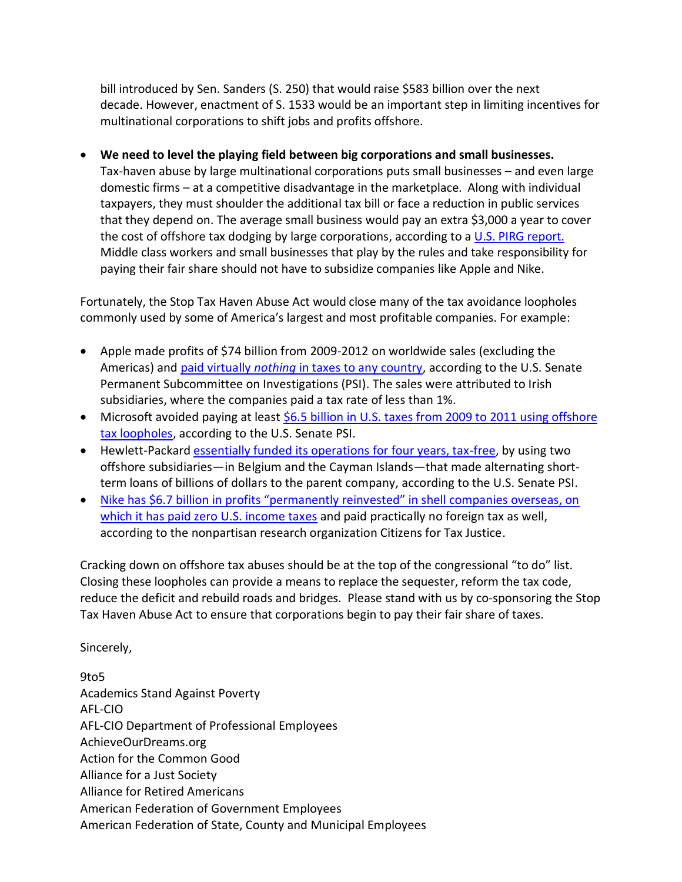bill introduced by Sen. Sanders (S. 250) that would raise \$583 billion over the next decade. However, enactment of S. 1533 would be an important step in limiting incentives for multinational corporations to shift jobs and profits offshore.

**We need to level the playing field between big corporations and small businesses.** 

Tax-haven abuse by large multinational corporations puts small businesses – and even large domestic firms – at a competitive disadvantage in the marketplace. Along with individual taxpayers, they must shoulder the additional tax bill or face a reduction in public services that they depend on. The average small business would pay an extra \$3,000 a year to cover the cost of offshore tax dodging by large corporations, according to [a U.S. PIRG report.](http://uspirg.org/reports/usp/picking-tab-2013) Middle class workers and small businesses that play by the rules and take responsibility for paying their fair share should not have to subsidize companies like Apple and Nike.

Fortunately, the Stop Tax Haven Abuse Act would close many of the tax avoidance loopholes commonly used by some of America's largest and most profitable companies. For example:

- Apple made profits of \$74 billion from 2009-2012 on worldwide sales (excluding the Americas) and paid virtually *nothing* [in taxes to any country,](https://www.google.com/url?sa=t&rct=j&q=&esrc=s&source=web&cd=1&ved=0CCoQFjAA&url=http%3A%2F%2Fwww.levin.senate.gov%2Fdownload%2Fexhibit1a_profitshiftingmemo_apple&ei=lrTRUYGLHY3j4AOYzIGgDg&usg=AFQjCNGKCOvIkFyQRc7ZGIzvgiA5Q4gTJA&sig2=5f-EnbODlnX9PztCHIodgQ&bvm=bv.48572450,d.dmg) according to the U.S. Senate Permanent Subcommittee on Investigations (PSI). The sales were attributed to Irish subsidiaries, where the companies paid a tax rate of less than 1%.
- Microsoft avoided paying at least [\\$6.5 billion in U.S. taxes from 2009 to 2011](http://www.hsgac.senate.gov/download/?id=7B9717AF-592F-48BE-815B-FD8D38A71663) using offshore tax loopholes, according to the U.S. Senate PSI.
- Hewlett-Packard [essentially funded its operations for four years, tax-free,](http://www.levin.senate.gov/newsroom/speeches/speech/opening-statement-at-psi-hearing-offshore-profit-shifting-and-the-us-tax-code) by using two offshore subsidiaries—in Belgium and the Cayman Islands—that made alternating shortterm loans of billions of dollars to the parent company, according to the U.S. Senate PSI.
- [Nike has \\$6.7 billion in profits "permanently reinvested" in shell companies overseas, on](http://www.ctj.org/taxjusticedigest/archive/2013/07/nikes_tax_haven_subsidiaries_a.php#.Uj9MlYVOQ7A)  [which it has paid zero U.S. income taxe](http://www.ctj.org/taxjusticedigest/archive/2013/07/nikes_tax_haven_subsidiaries_a.php#.Uj9MlYVOQ7A)s and paid practically no foreign tax as well, according to the nonpartisan research organization Citizens for Tax Justice.

Cracking down on offshore tax abuses should be at the top of the congressional "to do" list. Closing these loopholes can provide a means to replace the sequester, reform the tax code, reduce the deficit and rebuild roads and bridges. Please stand with us by co-sponsoring the Stop Tax Haven Abuse Act to ensure that corporations begin to pay their fair share of taxes.

Sincerely,

9to5 Academics Stand Against Poverty AFL-CIO AFL-CIO Department of Professional Employees AchieveOurDreams.org Action for the Common Good Alliance for a Just Society Alliance for Retired Americans American Federation of Government Employees American Federation of State, County and Municipal Employees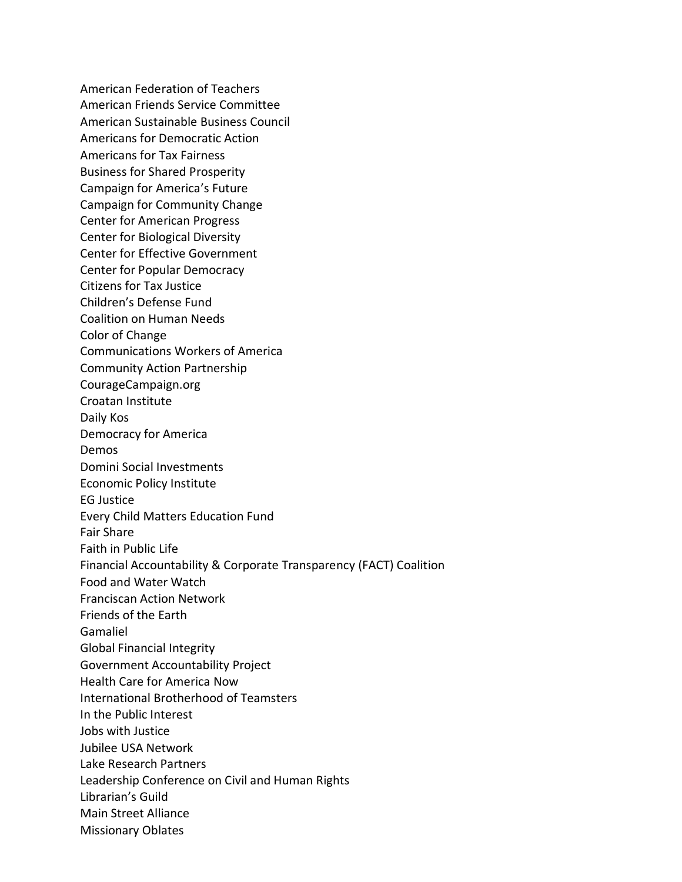American Federation of Teachers American Friends Service Committee American Sustainable Business Council Americans for Democratic Action Americans for Tax Fairness Business for Shared Prosperity Campaign for America's Future Campaign for Community Change Center for American Progress Center for Biological Diversity Center for Effective Government Center for Popular Democracy Citizens for Tax Justice Children's Defense Fund Coalition on Human Needs Color of Change Communications Workers of America Community Action Partnership CourageCampaign.org Croatan Institute Daily Kos Democracy for America Demos Domini Social Investments Economic Policy Institute EG Justice Every Child Matters Education Fund Fair Share Faith in Public Life Financial Accountability & Corporate Transparency (FACT) Coalition Food and Water Watch Franciscan Action Network Friends of the Earth Gamaliel Global Financial Integrity Government Accountability Project Health Care for America Now International Brotherhood of Teamsters In the Public Interest Jobs with Justice Jubilee USA Network Lake Research Partners Leadership Conference on Civil and Human Rights Librarian's Guild Main Street Alliance Missionary Oblates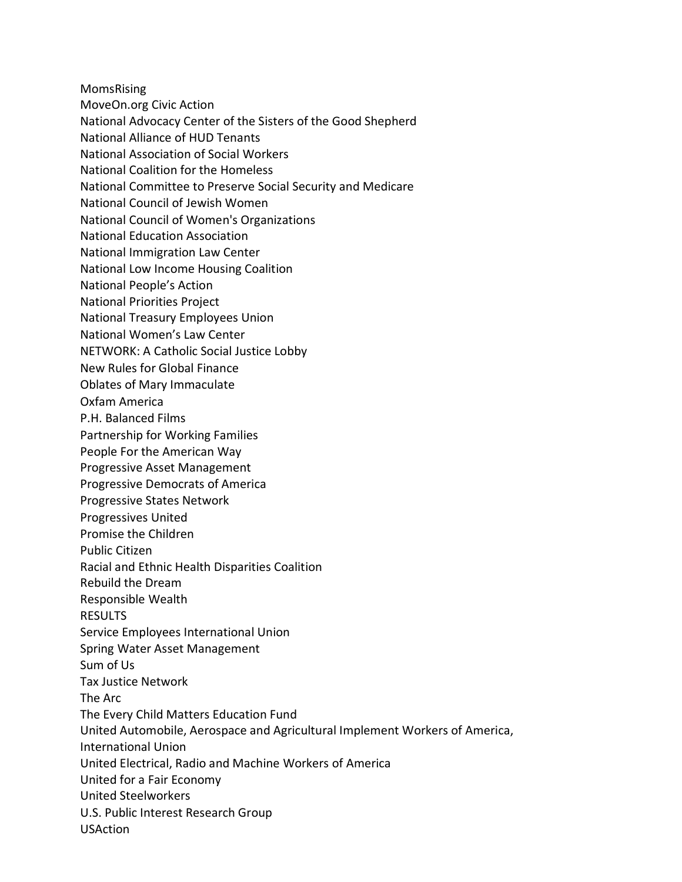MomsRising

- MoveOn.org Civic Action
- National Advocacy Center of the Sisters of the Good Shepherd
- National Alliance of HUD Tenants
- National Association of Social Workers
- National Coalition for the Homeless
- National Committee to Preserve Social Security and Medicare
- National Council of Jewish Women
- National Council of Women's Organizations
- National Education Association
- National Immigration Law Center
- National Low Income Housing Coalition
- National People's Action
- National Priorities Project
- National Treasury Employees Union
- National Women's Law Center
- NETWORK: A Catholic Social Justice Lobby
- New Rules for Global Finance
- Oblates of Mary Immaculate
- Oxfam America
- P.H. Balanced Films
- Partnership for Working Families
- People For the American Way
- Progressive Asset Management
- Progressive Democrats of America
- Progressive States Network
- Progressives United
- Promise the Children
- Public Citizen
- Racial and Ethnic Health Disparities Coalition
- Rebuild the Dream
- Responsible Wealth
- RESULTS
- Service Employees International Union
- Spring Water Asset Management
- Sum of Us
- Tax Justice Network
- The Arc
- The Every Child Matters Education Fund
- United Automobile, Aerospace and Agricultural Implement Workers of America,
- International Union
- United Electrical, Radio and Machine Workers of America
- United for a Fair Economy
- United Steelworkers
- U.S. Public Interest Research Group
- USAction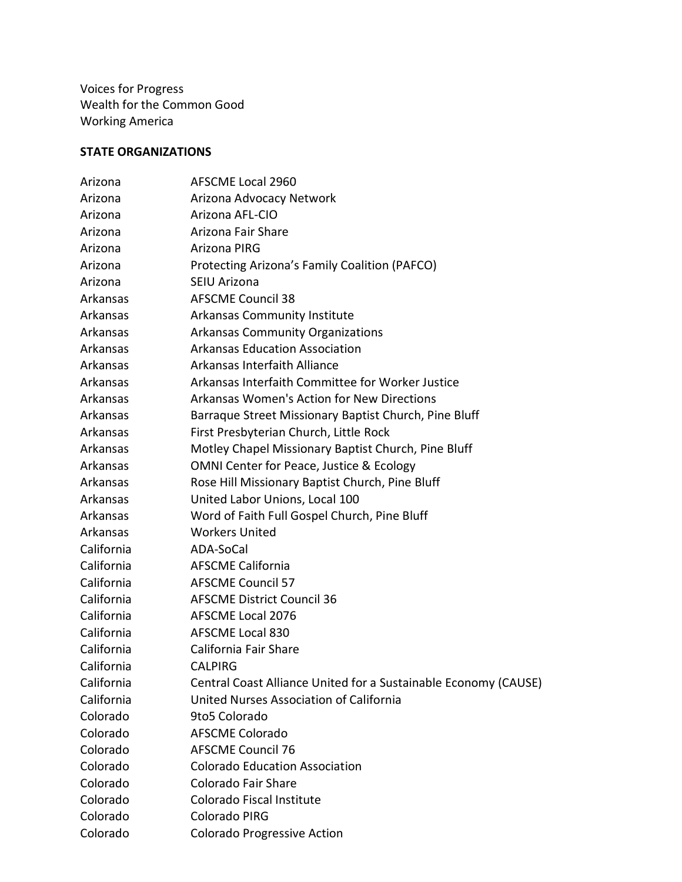Voices for Progress Wealth for the Common Good Working America

## **STATE ORGANIZATIONS**

| Arizona    | <b>AFSCME Local 2960</b>                                        |
|------------|-----------------------------------------------------------------|
| Arizona    | Arizona Advocacy Network                                        |
| Arizona    | Arizona AFL-CIO                                                 |
| Arizona    | Arizona Fair Share                                              |
| Arizona    | Arizona PIRG                                                    |
| Arizona    | Protecting Arizona's Family Coalition (PAFCO)                   |
| Arizona    | SEIU Arizona                                                    |
| Arkansas   | <b>AFSCME Council 38</b>                                        |
| Arkansas   | Arkansas Community Institute                                    |
| Arkansas   | <b>Arkansas Community Organizations</b>                         |
| Arkansas   | <b>Arkansas Education Association</b>                           |
| Arkansas   | Arkansas Interfaith Alliance                                    |
| Arkansas   | Arkansas Interfaith Committee for Worker Justice                |
| Arkansas   | <b>Arkansas Women's Action for New Directions</b>               |
| Arkansas   | Barraque Street Missionary Baptist Church, Pine Bluff           |
| Arkansas   | First Presbyterian Church, Little Rock                          |
| Arkansas   | Motley Chapel Missionary Baptist Church, Pine Bluff             |
| Arkansas   | OMNI Center for Peace, Justice & Ecology                        |
| Arkansas   | Rose Hill Missionary Baptist Church, Pine Bluff                 |
| Arkansas   | United Labor Unions, Local 100                                  |
| Arkansas   | Word of Faith Full Gospel Church, Pine Bluff                    |
| Arkansas   | <b>Workers United</b>                                           |
| California | ADA-SoCal                                                       |
| California | <b>AFSCME California</b>                                        |
| California | <b>AFSCME Council 57</b>                                        |
| California | <b>AFSCME District Council 36</b>                               |
| California | <b>AFSCME Local 2076</b>                                        |
| California | <b>AFSCME Local 830</b>                                         |
| California | California Fair Share                                           |
| California | <b>CALPIRG</b>                                                  |
| California | Central Coast Alliance United for a Sustainable Economy (CAUSE) |
| California | United Nurses Association of California                         |
| Colorado   | 9to5 Colorado                                                   |
| Colorado   | <b>AFSCME Colorado</b>                                          |
| Colorado   | <b>AFSCME Council 76</b>                                        |
| Colorado   | <b>Colorado Education Association</b>                           |
| Colorado   | Colorado Fair Share                                             |
| Colorado   | Colorado Fiscal Institute                                       |
| Colorado   | Colorado PIRG                                                   |
| Colorado   | Colorado Progressive Action                                     |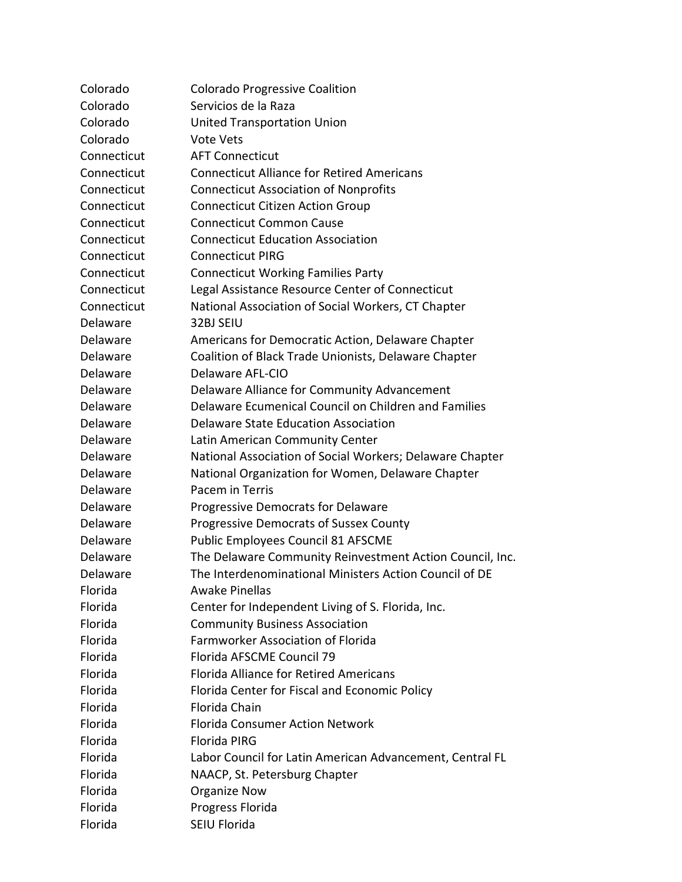| Colorado    | Colorado Progressive Coalition                           |
|-------------|----------------------------------------------------------|
| Colorado    | Servicios de la Raza                                     |
| Colorado    | <b>United Transportation Union</b>                       |
| Colorado    | <b>Vote Vets</b>                                         |
| Connecticut | <b>AFT Connecticut</b>                                   |
| Connecticut | <b>Connecticut Alliance for Retired Americans</b>        |
| Connecticut | <b>Connecticut Association of Nonprofits</b>             |
| Connecticut | <b>Connecticut Citizen Action Group</b>                  |
| Connecticut | <b>Connecticut Common Cause</b>                          |
| Connecticut | <b>Connecticut Education Association</b>                 |
| Connecticut | <b>Connecticut PIRG</b>                                  |
| Connecticut | <b>Connecticut Working Families Party</b>                |
| Connecticut | Legal Assistance Resource Center of Connecticut          |
| Connecticut | National Association of Social Workers, CT Chapter       |
| Delaware    | 32BJ SEIU                                                |
| Delaware    | Americans for Democratic Action, Delaware Chapter        |
| Delaware    | Coalition of Black Trade Unionists, Delaware Chapter     |
| Delaware    | Delaware AFL-CIO                                         |
| Delaware    | Delaware Alliance for Community Advancement              |
| Delaware    | Delaware Ecumenical Council on Children and Families     |
| Delaware    | Delaware State Education Association                     |
| Delaware    | Latin American Community Center                          |
| Delaware    | National Association of Social Workers; Delaware Chapter |
| Delaware    | National Organization for Women, Delaware Chapter        |
| Delaware    | Pacem in Terris                                          |
| Delaware    | Progressive Democrats for Delaware                       |
| Delaware    | Progressive Democrats of Sussex County                   |
| Delaware    | Public Employees Council 81 AFSCME                       |
| Delaware    | The Delaware Community Reinvestment Action Council, Inc. |
| Delaware    | The Interdenominational Ministers Action Council of DE   |
| Florida     | <b>Awake Pinellas</b>                                    |
| Florida     | Center for Independent Living of S. Florida, Inc.        |
| Florida     | <b>Community Business Association</b>                    |
| Florida     | Farmworker Association of Florida                        |
| Florida     | Florida AFSCME Council 79                                |
| Florida     | <b>Florida Alliance for Retired Americans</b>            |
| Florida     | Florida Center for Fiscal and Economic Policy            |
| Florida     | Florida Chain                                            |
| Florida     | <b>Florida Consumer Action Network</b>                   |
| Florida     | Florida PIRG                                             |
| Florida     | Labor Council for Latin American Advancement, Central FL |
| Florida     | NAACP, St. Petersburg Chapter                            |
| Florida     | Organize Now                                             |
| Florida     | Progress Florida                                         |
| Florida     | SEIU Florida                                             |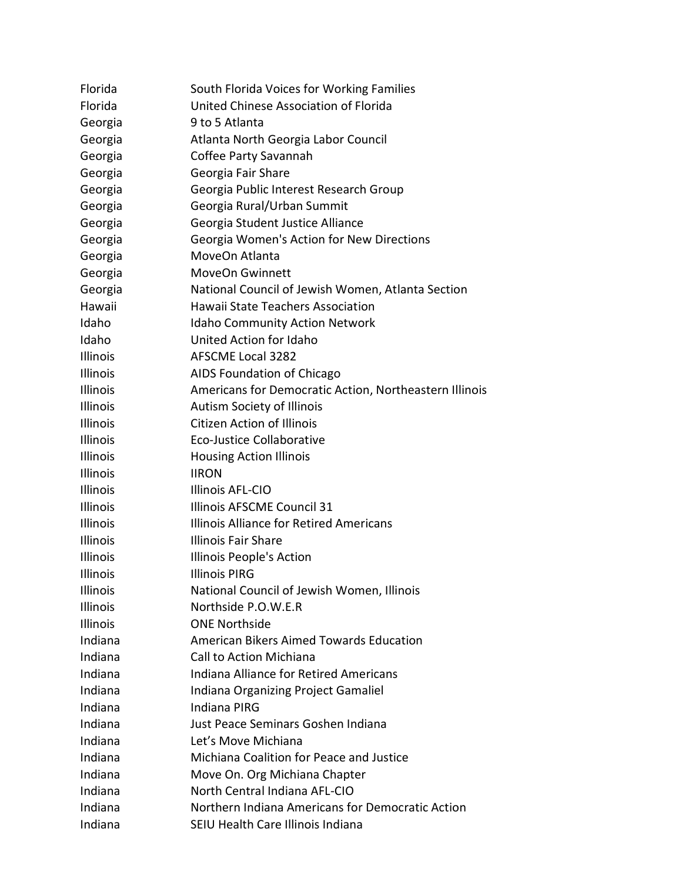| Florida         | South Florida Voices for Working Families              |
|-----------------|--------------------------------------------------------|
| Florida         | United Chinese Association of Florida                  |
| Georgia         | 9 to 5 Atlanta                                         |
| Georgia         | Atlanta North Georgia Labor Council                    |
| Georgia         | Coffee Party Savannah                                  |
| Georgia         | Georgia Fair Share                                     |
| Georgia         | Georgia Public Interest Research Group                 |
| Georgia         | Georgia Rural/Urban Summit                             |
| Georgia         | Georgia Student Justice Alliance                       |
| Georgia         | Georgia Women's Action for New Directions              |
| Georgia         | MoveOn Atlanta                                         |
| Georgia         | <b>MoveOn Gwinnett</b>                                 |
| Georgia         | National Council of Jewish Women, Atlanta Section      |
| Hawaii          | Hawaii State Teachers Association                      |
| Idaho           | <b>Idaho Community Action Network</b>                  |
| Idaho           | United Action for Idaho                                |
| Illinois        | <b>AFSCME Local 3282</b>                               |
| Illinois        | AIDS Foundation of Chicago                             |
| Illinois        | Americans for Democratic Action, Northeastern Illinois |
| <b>Illinois</b> | <b>Autism Society of Illinois</b>                      |
| Illinois        | <b>Citizen Action of Illinois</b>                      |
| Illinois        | Eco-Justice Collaborative                              |
| Illinois        | <b>Housing Action Illinois</b>                         |
| Illinois        | <b>IIRON</b>                                           |
| Illinois        | Illinois AFL-CIO                                       |
| Illinois        | Illinois AFSCME Council 31                             |
| Illinois        | <b>Illinois Alliance for Retired Americans</b>         |
| Illinois        | <b>Illinois Fair Share</b>                             |
| Illinois        | Illinois People's Action                               |
| Illinois        | <b>Illinois PIRG</b>                                   |
| Illinois        | National Council of Jewish Women, Illinois             |
| Illinois        | Northside P.O.W.E.R                                    |
| Illinois        | <b>ONE Northside</b>                                   |
| Indiana         | American Bikers Aimed Towards Education                |
| Indiana         | <b>Call to Action Michiana</b>                         |
| Indiana         | <b>Indiana Alliance for Retired Americans</b>          |
| Indiana         | Indiana Organizing Project Gamaliel                    |
| Indiana         | <b>Indiana PIRG</b>                                    |
| Indiana         | Just Peace Seminars Goshen Indiana                     |
| Indiana         | Let's Move Michiana                                    |
| Indiana         | Michiana Coalition for Peace and Justice               |
| Indiana         | Move On. Org Michiana Chapter                          |
| Indiana         | North Central Indiana AFL-CIO                          |
| Indiana         | Northern Indiana Americans for Democratic Action       |
| Indiana         | SEIU Health Care Illinois Indiana                      |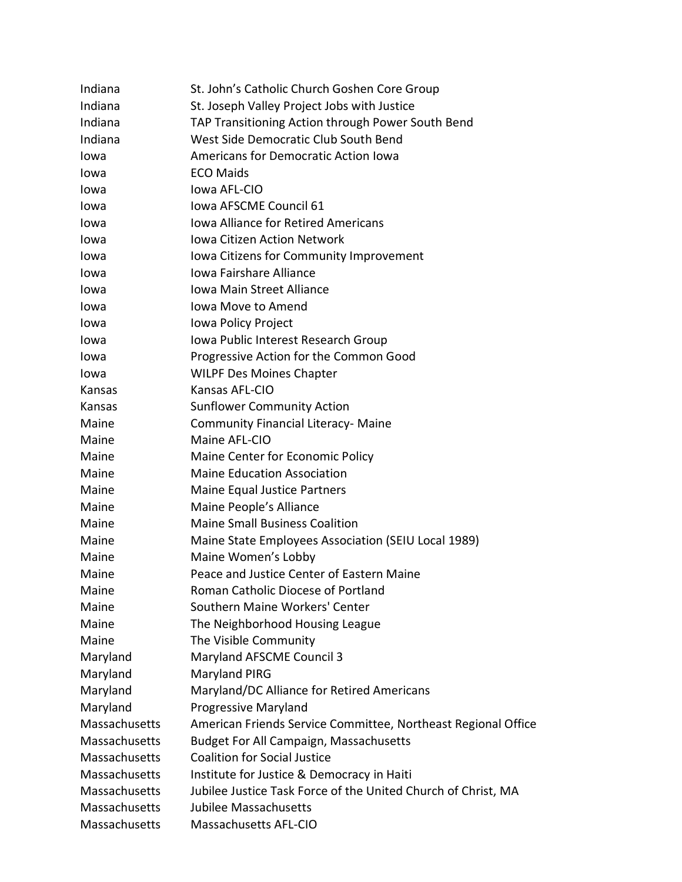| Indiana       | St. John's Catholic Church Goshen Core Group                  |
|---------------|---------------------------------------------------------------|
| Indiana       | St. Joseph Valley Project Jobs with Justice                   |
| Indiana       | TAP Transitioning Action through Power South Bend             |
| Indiana       | West Side Democratic Club South Bend                          |
| lowa          | <b>Americans for Democratic Action Iowa</b>                   |
| Iowa          | <b>ECO Maids</b>                                              |
| Iowa          | lowa AFL-CIO                                                  |
| Iowa          | Iowa AFSCME Council 61                                        |
| Iowa          | <b>Iowa Alliance for Retired Americans</b>                    |
| Iowa          | Jowa Citizen Action Network                                   |
| Iowa          | Iowa Citizens for Community Improvement                       |
| Iowa          | <b>Iowa Fairshare Alliance</b>                                |
| Iowa          | Jowa Main Street Alliance                                     |
| Iowa          | <b>Iowa Move to Amend</b>                                     |
| Iowa          | Iowa Policy Project                                           |
| Iowa          | Iowa Public Interest Research Group                           |
| Iowa          | Progressive Action for the Common Good                        |
| Iowa          | <b>WILPF Des Moines Chapter</b>                               |
| Kansas        | Kansas AFL-CIO                                                |
| Kansas        | <b>Sunflower Community Action</b>                             |
| Maine         | <b>Community Financial Literacy- Maine</b>                    |
| Maine         | Maine AFL-CIO                                                 |
| Maine         | Maine Center for Economic Policy                              |
| Maine         | <b>Maine Education Association</b>                            |
| Maine         | Maine Equal Justice Partners                                  |
| Maine         | Maine People's Alliance                                       |
| Maine         | <b>Maine Small Business Coalition</b>                         |
| Maine         | Maine State Employees Association (SEIU Local 1989)           |
| Maine         | Maine Women's Lobby                                           |
| Maine         | Peace and Justice Center of Eastern Maine                     |
| Maine         | Roman Catholic Diocese of Portland                            |
| Maine         | Southern Maine Workers' Center                                |
| Maine         | The Neighborhood Housing League                               |
| Maine         | The Visible Community                                         |
| Maryland      | Maryland AFSCME Council 3                                     |
| Maryland      | Maryland PIRG                                                 |
| Maryland      | Maryland/DC Alliance for Retired Americans                    |
| Maryland      | <b>Progressive Maryland</b>                                   |
| Massachusetts | American Friends Service Committee, Northeast Regional Office |
| Massachusetts | <b>Budget For All Campaign, Massachusetts</b>                 |
| Massachusetts | <b>Coalition for Social Justice</b>                           |
| Massachusetts | Institute for Justice & Democracy in Haiti                    |
| Massachusetts | Jubilee Justice Task Force of the United Church of Christ, MA |
| Massachusetts | Jubilee Massachusetts                                         |
| Massachusetts | Massachusetts AFL-CIO                                         |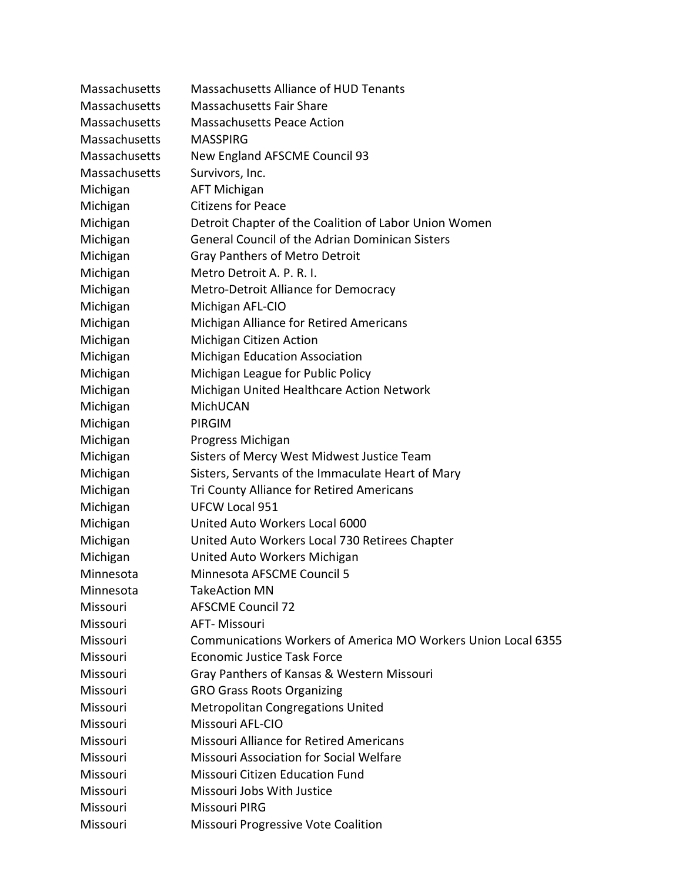| Massachusetts | Massachusetts Alliance of HUD Tenants                         |
|---------------|---------------------------------------------------------------|
| Massachusetts | <b>Massachusetts Fair Share</b>                               |
| Massachusetts | <b>Massachusetts Peace Action</b>                             |
| Massachusetts | <b>MASSPIRG</b>                                               |
| Massachusetts | New England AFSCME Council 93                                 |
| Massachusetts | Survivors, Inc.                                               |
| Michigan      | <b>AFT Michigan</b>                                           |
| Michigan      | <b>Citizens for Peace</b>                                     |
| Michigan      | Detroit Chapter of the Coalition of Labor Union Women         |
| Michigan      | <b>General Council of the Adrian Dominican Sisters</b>        |
| Michigan      | <b>Gray Panthers of Metro Detroit</b>                         |
| Michigan      | Metro Detroit A. P. R. I.                                     |
| Michigan      | Metro-Detroit Alliance for Democracy                          |
| Michigan      | Michigan AFL-CIO                                              |
| Michigan      | Michigan Alliance for Retired Americans                       |
| Michigan      | Michigan Citizen Action                                       |
| Michigan      | Michigan Education Association                                |
| Michigan      | Michigan League for Public Policy                             |
| Michigan      | Michigan United Healthcare Action Network                     |
| Michigan      | MichUCAN                                                      |
| Michigan      | <b>PIRGIM</b>                                                 |
| Michigan      | Progress Michigan                                             |
| Michigan      | Sisters of Mercy West Midwest Justice Team                    |
| Michigan      | Sisters, Servants of the Immaculate Heart of Mary             |
| Michigan      | Tri County Alliance for Retired Americans                     |
| Michigan      | <b>UFCW Local 951</b>                                         |
| Michigan      | United Auto Workers Local 6000                                |
| Michigan      | United Auto Workers Local 730 Retirees Chapter                |
| Michigan      | United Auto Workers Michigan                                  |
| Minnesota     | Minnesota AFSCME Council 5                                    |
| Minnesota     | <b>TakeAction MN</b>                                          |
| Missouri      | <b>AFSCME Council 72</b>                                      |
| Missouri      | AFT-Missouri                                                  |
| Missouri      | Communications Workers of America MO Workers Union Local 6355 |
| Missouri      | <b>Economic Justice Task Force</b>                            |
| Missouri      | Gray Panthers of Kansas & Western Missouri                    |
| Missouri      | <b>GRO Grass Roots Organizing</b>                             |
| Missouri      | <b>Metropolitan Congregations United</b>                      |
| Missouri      | Missouri AFL-CIO                                              |
| Missouri      | Missouri Alliance for Retired Americans                       |
| Missouri      | <b>Missouri Association for Social Welfare</b>                |
| Missouri      | <b>Missouri Citizen Education Fund</b>                        |
| Missouri      | Missouri Jobs With Justice                                    |
| Missouri      | Missouri PIRG                                                 |
| Missouri      | Missouri Progressive Vote Coalition                           |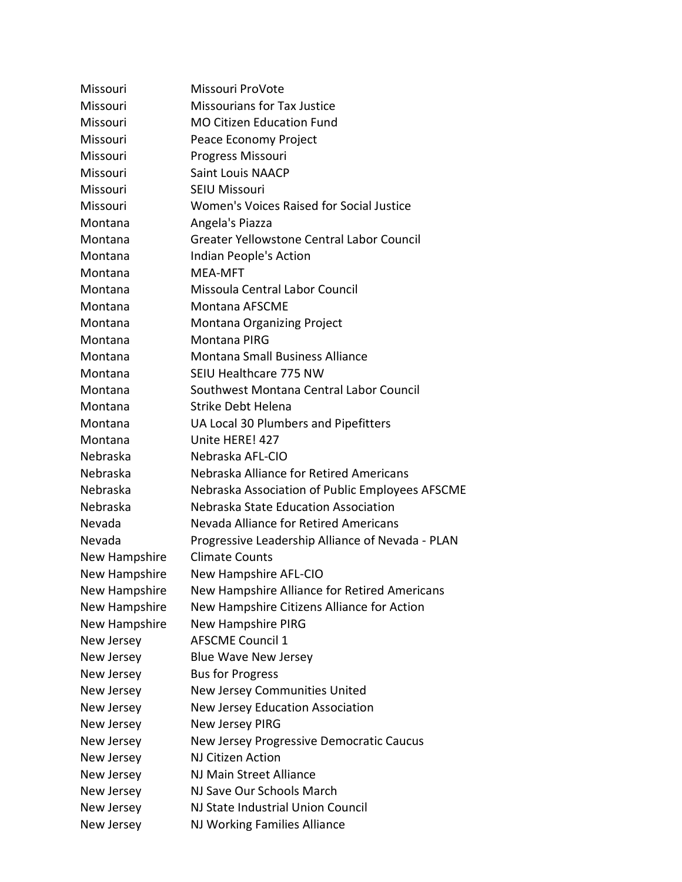Missouri Missouri ProVote Missouri Missourians for Tax Justice Missouri MO Citizen Education Fund Missouri Peace Economy Project Missouri Progress Missouri Missouri Saint Louis NAACP Missouri SEIU Missouri Missouri Women's Voices Raised for Social Justice Montana Angela's Piazza Montana Greater Yellowstone Central Labor Council Montana Indian People's Action Montana MEA-MFT Montana Missoula Central Labor Council Montana Montana AFSCME Montana Montana Organizing Project Montana Montana PIRG Montana Montana Small Business Alliance Montana SEIU Healthcare 775 NW Montana Southwest Montana Central Labor Council Montana Strike Debt Helena Montana UA Local 30 Plumbers and Pipefitters Montana Unite HERE! 427 Nebraska Nebraska AFL-CIO Nebraska Nebraska Alliance for Retired Americans Nebraska Nebraska Association of Public Employees AFSCME Nebraska Nebraska State Education Association Nevada Nevada Alliance for Retired Americans Nevada Progressive Leadership Alliance of Nevada - PLAN New Hampshire Climate Counts New Hampshire New Hampshire AFL-CIO New Hampshire New Hampshire Alliance for Retired Americans New Hampshire New Hampshire Citizens Alliance for Action New Hampshire New Hampshire PIRG New Jersey AFSCME Council 1 New Jersey Blue Wave New Jersey New Jersey Bus for Progress New Jersey New Jersey Communities United New Jersey New Jersey Education Association New Jersey New Jersey PIRG New Jersey New Jersey Progressive Democratic Caucus New Jersey NJ Citizen Action New Jersey NJ Main Street Alliance New Jersey NJ Save Our Schools March New Jersey NJ State Industrial Union Council New Jersey NJ Working Families Alliance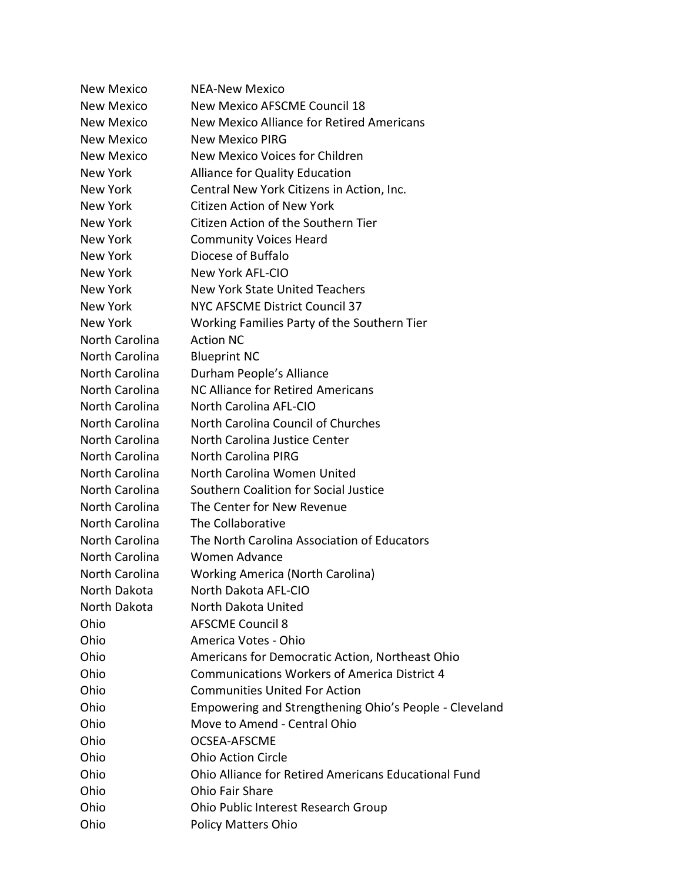New Mexico NEA-New Mexico New Mexico New Mexico AFSCME Council 18 New Mexico New Mexico Alliance for Retired Americans New Mexico New Mexico PIRG New Mexico New Mexico Voices for Children New York Alliance for Quality Education New York Central New York Citizens in Action, Inc. New York Citizen Action of New York New York Citizen Action of the Southern Tier New York Community Voices Heard New York Diocese of Buffalo New York New York AFL-CIO New York New York State United Teachers New York NYC AFSCME District Council 37 New York Working Families Party of the Southern Tier North Carolina Action NC North Carolina Blueprint NC North Carolina Durham People's Alliance North Carolina NC Alliance for Retired Americans North Carolina North Carolina AFL-CIO North Carolina North Carolina Council of Churches North Carolina North Carolina Justice Center North Carolina North Carolina PIRG North Carolina North Carolina Women United North Carolina Southern Coalition for Social Justice North Carolina The Center for New Revenue North Carolina The Collaborative North Carolina The North Carolina Association of Educators North Carolina Women Advance North Carolina Working America (North Carolina) North Dakota North Dakota AFL-CIO North Dakota North Dakota United Ohio AFSCME Council 8 Ohio America Votes - Ohio Ohio Americans for Democratic Action, Northeast Ohio Ohio Communications Workers of America District 4 Ohio Communities United For Action Ohio Empowering and Strengthening Ohio's People - Cleveland Ohio Move to Amend - Central Ohio Ohio OCSEA-AFSCME Ohio Ohio Action Circle Ohio Ohio Alliance for Retired Americans Educational Fund Ohio Ohio Fair Share Ohio Ohio Public Interest Research Group Ohio Policy Matters Ohio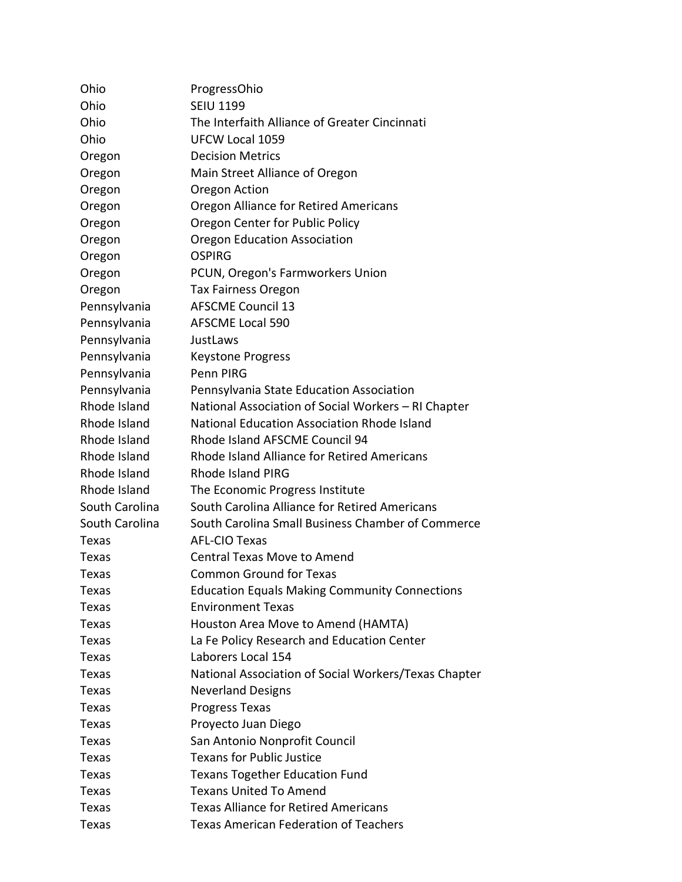| Ohio           | ProgressOhio                                         |
|----------------|------------------------------------------------------|
| Ohio           | <b>SEIU 1199</b>                                     |
| Ohio           | The Interfaith Alliance of Greater Cincinnati        |
| Ohio           | <b>UFCW Local 1059</b>                               |
| Oregon         | <b>Decision Metrics</b>                              |
| Oregon         | Main Street Alliance of Oregon                       |
| Oregon         | Oregon Action                                        |
| Oregon         | Oregon Alliance for Retired Americans                |
| Oregon         | Oregon Center for Public Policy                      |
| Oregon         | <b>Oregon Education Association</b>                  |
| Oregon         | OSPIRG                                               |
| Oregon         | PCUN, Oregon's Farmworkers Union                     |
| Oregon         | Tax Fairness Oregon                                  |
| Pennsylvania   | <b>AFSCME Council 13</b>                             |
| Pennsylvania   | <b>AFSCME Local 590</b>                              |
| Pennsylvania   | JustLaws                                             |
| Pennsylvania   | <b>Keystone Progress</b>                             |
| Pennsylvania   | Penn PIRG                                            |
| Pennsylvania   | Pennsylvania State Education Association             |
| Rhode Island   | National Association of Social Workers - RI Chapter  |
| Rhode Island   | National Education Association Rhode Island          |
| Rhode Island   | Rhode Island AFSCME Council 94                       |
| Rhode Island   | Rhode Island Alliance for Retired Americans          |
| Rhode Island   | <b>Rhode Island PIRG</b>                             |
| Rhode Island   | The Economic Progress Institute                      |
| South Carolina | South Carolina Alliance for Retired Americans        |
| South Carolina | South Carolina Small Business Chamber of Commerce    |
| Texas          | <b>AFL-CIO Texas</b>                                 |
| Texas          | <b>Central Texas Move to Amend</b>                   |
| Texas          | <b>Common Ground for Texas</b>                       |
| Texas          | <b>Education Equals Making Community Connections</b> |
| Texas          | <b>Environment Texas</b>                             |
| Texas          | Houston Area Move to Amend (HAMTA)                   |
| <b>Texas</b>   | La Fe Policy Research and Education Center           |
| Texas          | Laborers Local 154                                   |
| Texas          | National Association of Social Workers/Texas Chapter |
| Texas          | <b>Neverland Designs</b>                             |
| <b>Texas</b>   | <b>Progress Texas</b>                                |
| Texas          | Proyecto Juan Diego                                  |
| Texas          | San Antonio Nonprofit Council                        |
| Texas          | <b>Texans for Public Justice</b>                     |
| <b>Texas</b>   | <b>Texans Together Education Fund</b>                |
| Texas          | <b>Texans United To Amend</b>                        |
| Texas          | <b>Texas Alliance for Retired Americans</b>          |
| <b>Texas</b>   | <b>Texas American Federation of Teachers</b>         |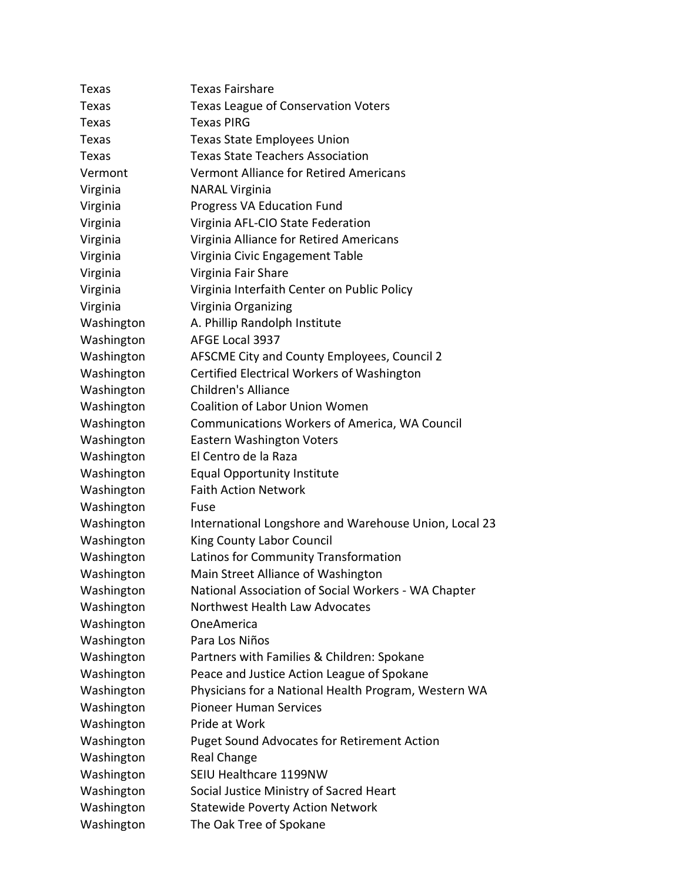| Texas                    | <b>Texas Fairshare</b>                                             |
|--------------------------|--------------------------------------------------------------------|
| Texas                    | Texas League of Conservation Voters                                |
| Texas                    | <b>Texas PIRG</b>                                                  |
| Texas                    | <b>Texas State Employees Union</b>                                 |
| Texas                    | <b>Texas State Teachers Association</b>                            |
| Vermont                  | <b>Vermont Alliance for Retired Americans</b>                      |
| Virginia                 | <b>NARAL Virginia</b>                                              |
| Virginia                 | Progress VA Education Fund                                         |
| Virginia                 | Virginia AFL-CIO State Federation                                  |
| Virginia                 | Virginia Alliance for Retired Americans                            |
| Virginia                 | Virginia Civic Engagement Table                                    |
| Virginia                 | Virginia Fair Share                                                |
| Virginia                 | Virginia Interfaith Center on Public Policy                        |
| Virginia                 | Virginia Organizing                                                |
| Washington               | A. Phillip Randolph Institute                                      |
| Washington               | AFGE Local 3937                                                    |
| Washington               | AFSCME City and County Employees, Council 2                        |
| Washington               | Certified Electrical Workers of Washington                         |
| Washington               | <b>Children's Alliance</b>                                         |
| Washington               | <b>Coalition of Labor Union Women</b>                              |
| Washington               | Communications Workers of America, WA Council                      |
| Washington               | <b>Eastern Washington Voters</b>                                   |
| Washington               | El Centro de la Raza                                               |
| Washington               | <b>Equal Opportunity Institute</b>                                 |
| Washington               | <b>Faith Action Network</b>                                        |
| Washington               | Fuse                                                               |
| Washington               | International Longshore and Warehouse Union, Local 23              |
| Washington               | <b>King County Labor Council</b>                                   |
| Washington               | Latinos for Community Transformation                               |
| Washington               | Main Street Alliance of Washington                                 |
| Washington               | National Association of Social Workers - WA Chapter                |
| Washington               | Northwest Health Law Advocates                                     |
| Washington               |                                                                    |
|                          | OneAmerica                                                         |
| Washington               | Para Los Niños                                                     |
| Washington               | Partners with Families & Children: Spokane                         |
| Washington               | Peace and Justice Action League of Spokane                         |
| Washington               | Physicians for a National Health Program, Western WA               |
| Washington               | <b>Pioneer Human Services</b>                                      |
| Washington               | Pride at Work                                                      |
| Washington               | <b>Puget Sound Advocates for Retirement Action</b>                 |
| Washington               | <b>Real Change</b>                                                 |
| Washington               | SEIU Healthcare 1199NW                                             |
| Washington               | Social Justice Ministry of Sacred Heart                            |
| Washington<br>Washington | <b>Statewide Poverty Action Network</b><br>The Oak Tree of Spokane |